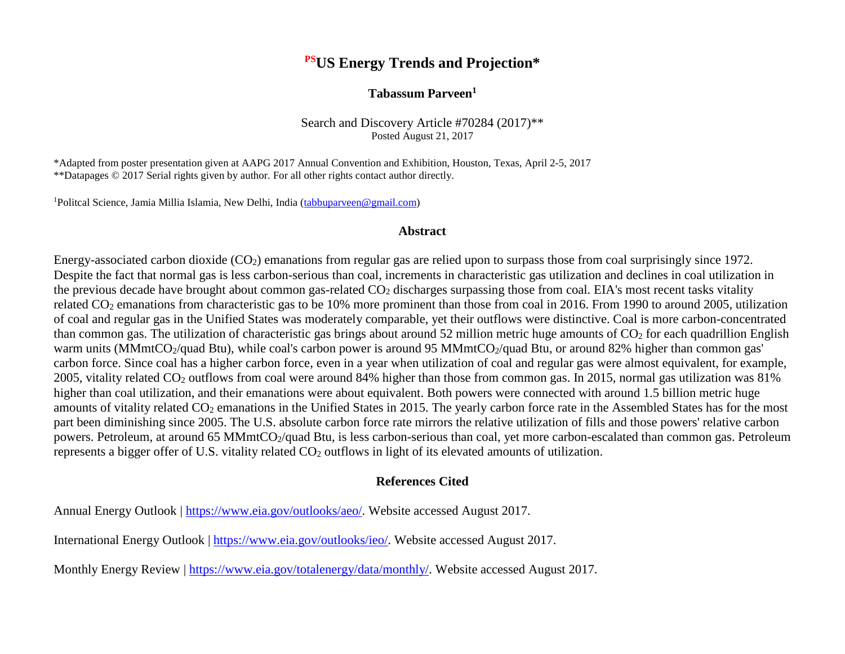### **PSUS Energy Trends and Projection\***

#### **Tabassum Parveen1**

Search and Discovery Article #70284 (2017)\*\* Posted August 21, 2017

\*Adapted from poster presentation given at AAPG 2017 Annual Convention and Exhibition, Houston, Texas, April 2-5, 2017 \*\*Datapages © 2017 Serial rights given by author. For all other rights contact author directly.

<sup>1</sup>Politcal Science, Jamia Millia Islamia, New Delhi, India (tabbuparveen@gmail.com)

#### **Abstract**

Energy-associated carbon dioxide (CO<sub>2</sub>) emanations from regular gas are relied upon to surpass those from coal surprisingly since 1972. Despite the fact that normal gas is less carbon-serious than coal, increments in characteristic gas utilization and declines in coal utilization in the previous decade have brought about common gas-related CO<sub>2</sub> discharges surpassing those from coal. EIA's most recent tasks vitality related CO2 emanations from characteristic gas to be 10% more prominent than those from coal in 2016. From 1990 to around 2005, utilization of coal and regular gas in the Unified States was moderately comparable, yet their outflows were distinctive. Coal is more carbon-concentrated than common gas. The utilization of characteristic gas brings about around 52 million metric huge amounts of  $CO<sub>2</sub>$  for each quadrillion English warm units (MMmtCO<sub>2</sub>/quad Btu), while coal's carbon power is around 95 MMmtCO<sub>2</sub>/quad Btu, or around 82% higher than common gas' carbon force. Since coal has a higher carbon force, even in a year when utilization of coal and regular gas were almost equivalent, for example, 2005, vitality related CO2 outflows from coal were around 84% higher than those from common gas. In 2015, normal gas utilization was 81% higher than coal utilization, and their emanations were about equivalent. Both powers were connected with around 1.5 billion metric huge amounts of vitality related CO<sub>2</sub> emanations in the Unified States in 2015. The yearly carbon force rate in the Assembled States has for the most part been diminishing since 2005. The U.S. absolute carbon force rate mirrors the relative utilization of fills and those powers' relative carbon powers. Petroleum, at around 65 MMmtCO<sub>2</sub>/quad Btu, is less carbon-serious than coal, yet more carbon-escalated than common gas. Petroleum represents a bigger offer of U.S. vitality related CO<sub>2</sub> outflows in light of its elevated amounts of utilization.

#### **References Cited**

Annual Energy Outlook | [https://www.eia.gov/outlooks/aeo/.](https://www.eia.gov/outlooks/aeo/) Website accessed August 2017.

International Energy Outlook | [https://www.eia.gov/outlooks/ieo/.](https://www.eia.gov/outlooks/ieo/) Website accessed August 2017.

Monthly Energy Review | [https://www.eia.gov/totalenergy/data/monthly/.](https://www.eia.gov/totalenergy/data/monthly/) Website accessed August 2017.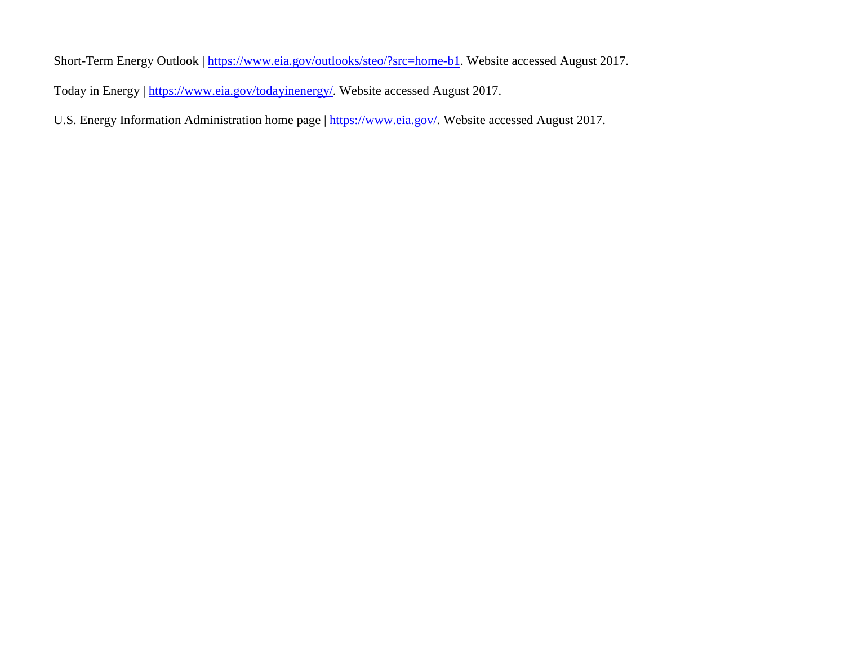Short-Term Energy Outlook | [https://www.eia.gov/outlooks/steo/?src=home-b1.](https://www.eia.gov/outlooks/steo/?src=home-b1) Website accessed August 2017. Today in Energy | [https://www.eia.gov/todayinenergy/.](https://www.eia.gov/todayinenergy/) Website accessed August 2017.

U.S. Energy Information Administration home page | [https://www.eia.gov/.](https://www.eia.gov/) Website accessed August 2017.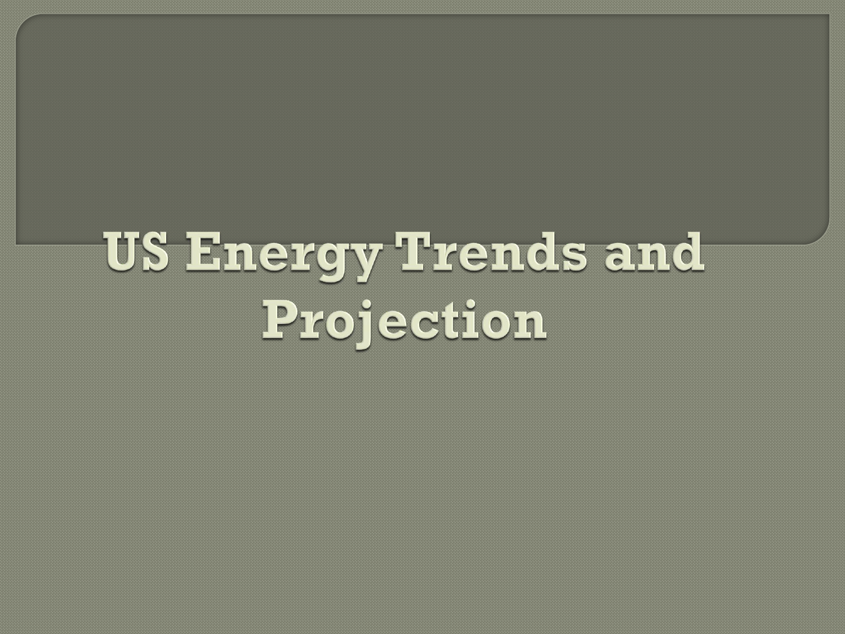# **US Energy Trends and** Projection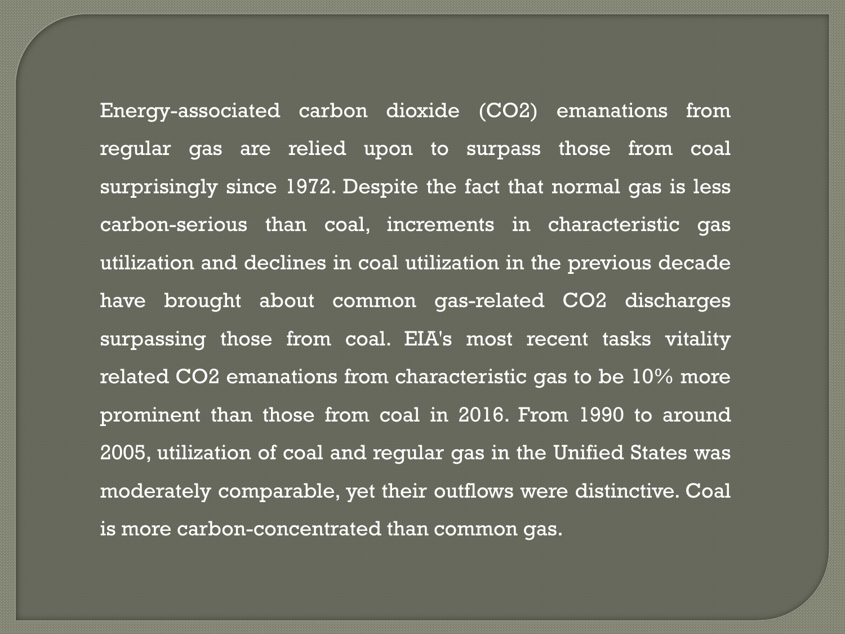Energy-associated carbon dioxide (CO2) emanations from regular gas are relied upon to surpass those from coal surprisingly since 1972. Despite the fact that normal gas is less carbon-serious than coal, increments in characteristic gas utilization and declines in coal utilization in the previous decade have brought about common gas-related CO2 discharges surpassing those from coal. EIA's most recent tasks vitality related CO2 emanations from characteristic gas to be 10% more prominent than those from coal in 2016. From 1990 to around 2005, utilization of coal and regular gas in the Unified States was moderately comparable, yet their outflows were distinctive. Coal is more carbon-concentrated than common gas.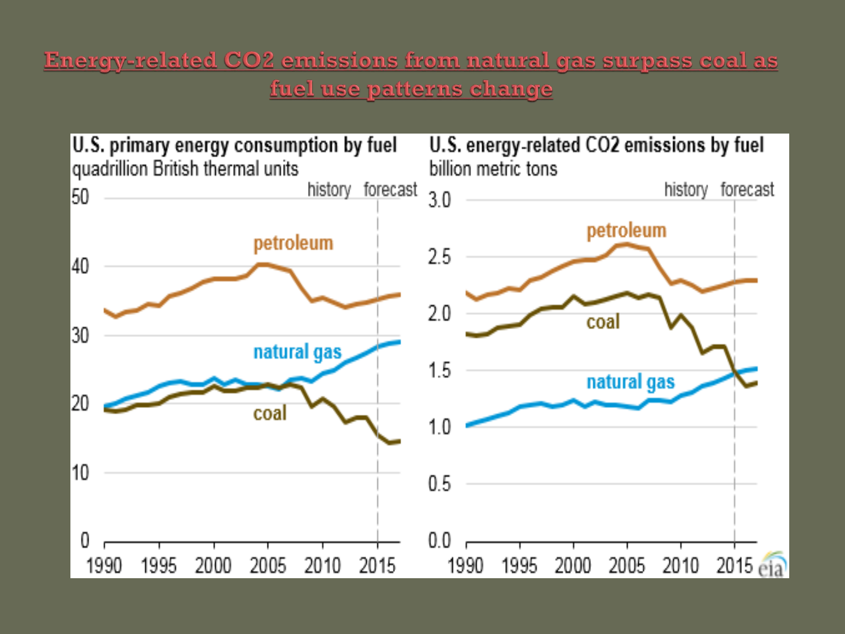## Energy-related CO2 emissions from natural gas surpass coal as fuel use patterns change

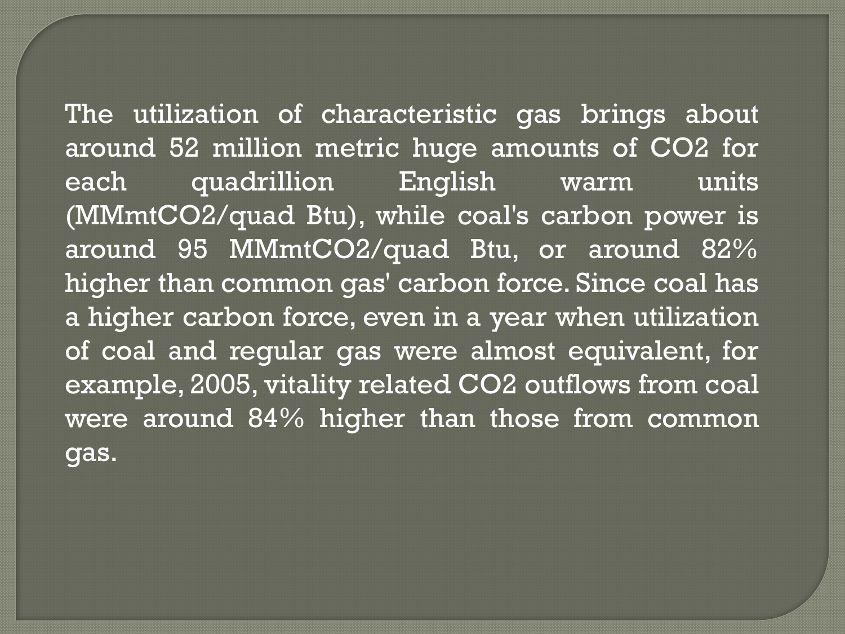The utilization of characteristic gas brings about around 52 million metric huge amounts of CO2 for each quadrillion English warm units (MMmtCO2/quad Btu), while coal's carbon power is around 95 MMmtCO2/quad Btu, or around 82% higher than common gas' carbon force. Since coal has a higher carbon force, even in a year when utilization of coal and regular gas were almost equivalent, for example, 2005, vitality related CO2 outflows from coal were around 84% higher than those from common gas.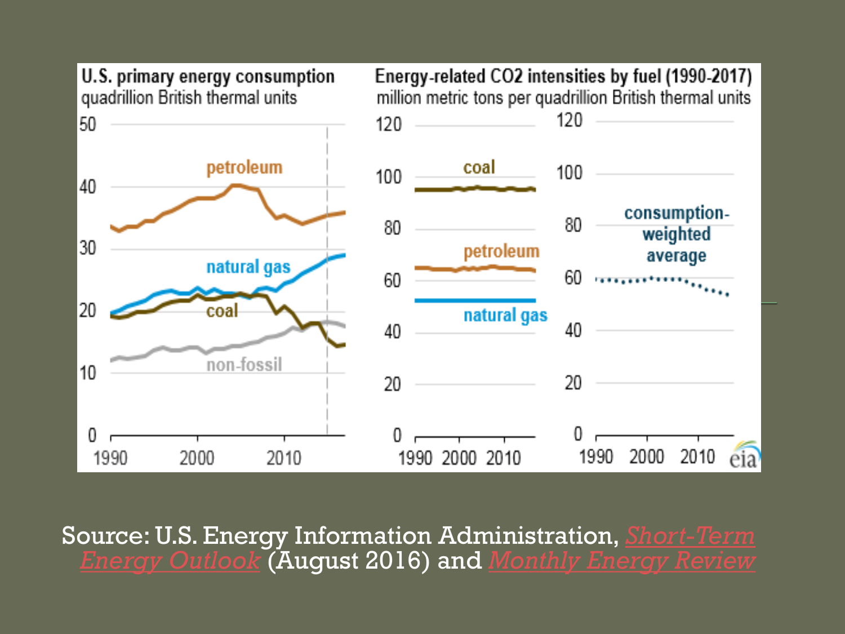

Source: [U.S. Energy Information Administration,](http://www.eia.gov/forecasts/steo/) *Short-Term Energy Outlook* (August 2016) and *[Monthly Energy Review](http://www.eia.gov/mer/)*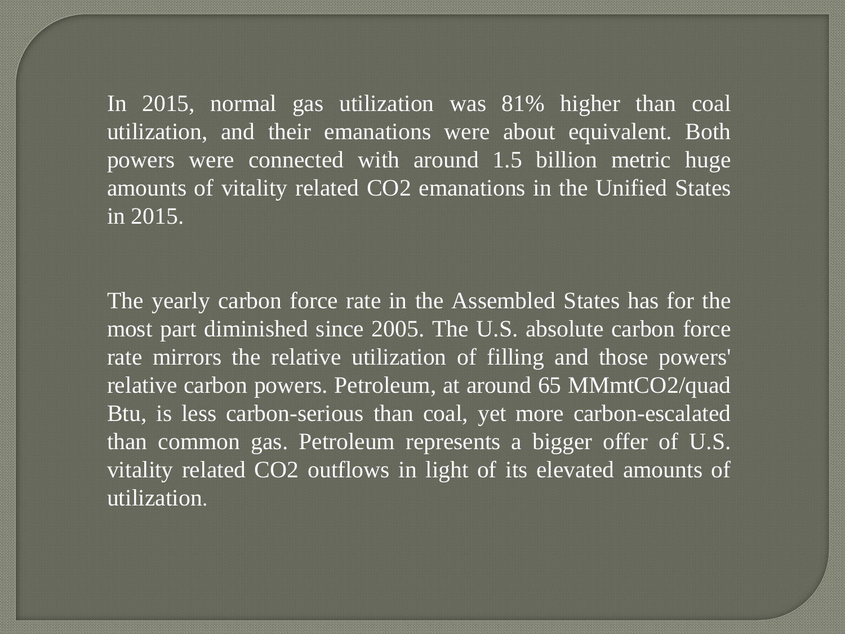In 2015, normal gas utilization was 81% higher than coal utilization, and their emanations were about equivalent. Both powers were connected with around 1.5 billion metric huge amounts of vitality related CO2 emanations in the Unified States in 2015.

The yearly carbon force rate in the Assembled States has for the most part diminished since 2005. The U.S. absolute carbon force rate mirrors the relative utilization of filling and those powers' relative carbon powers. Petroleum, at around 65 MMmtCO2/quad Btu, is less carbon-serious than coal, yet more carbon-escalated than common gas. Petroleum represents a bigger offer of U.S. vitality related CO2 outflows in light of its elevated amounts of utilization.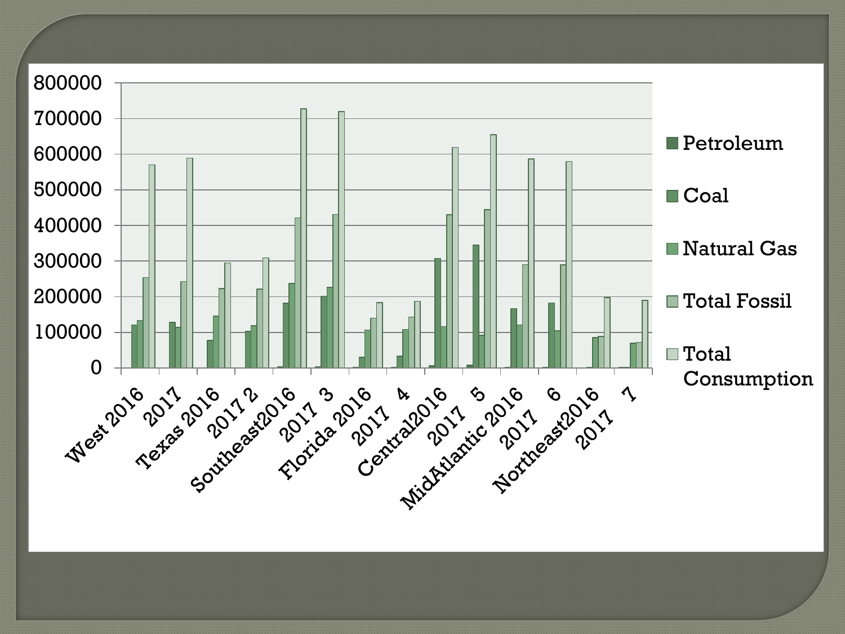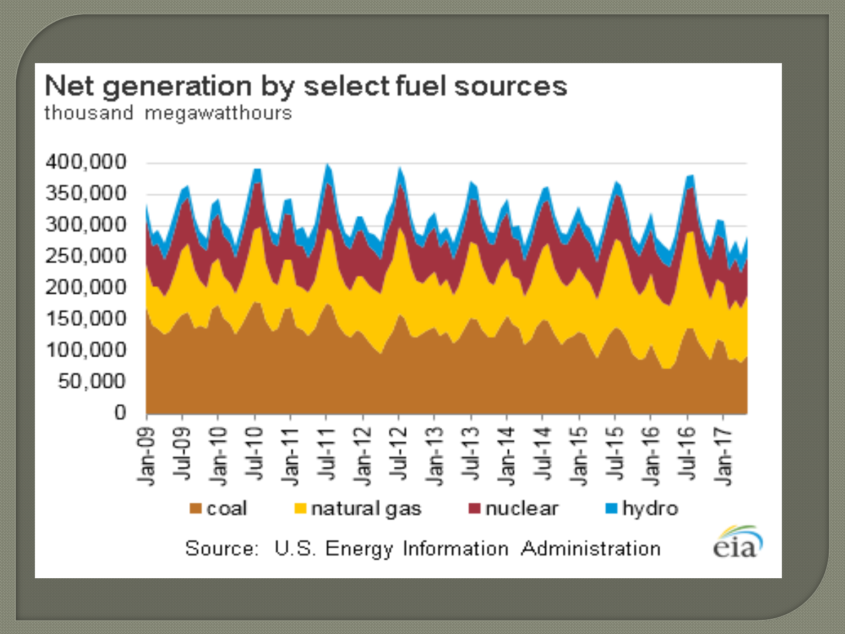# Net generation by select fuel sources

thousand megawatthours

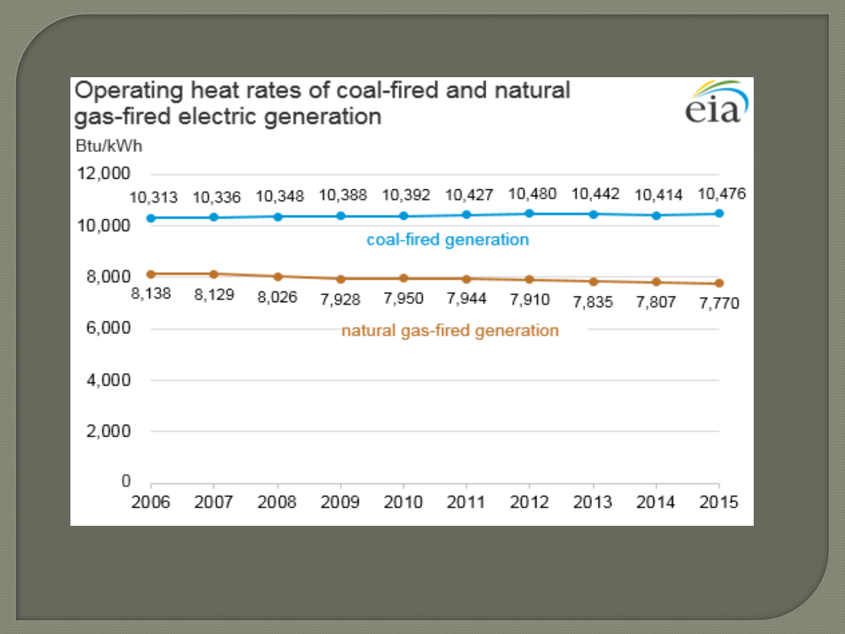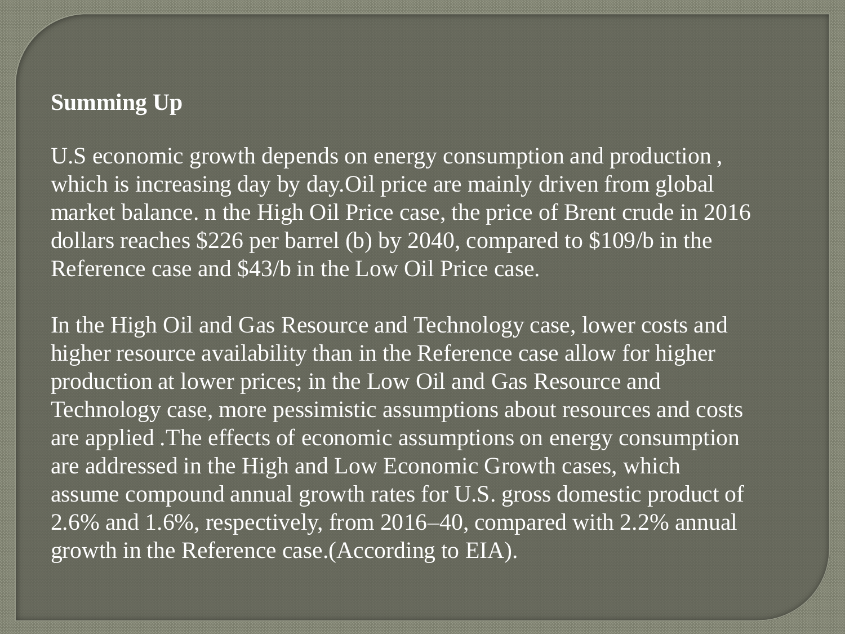## **Summing Up**

U.S economic growth depends on energy consumption and production , which is increasing day by day. Oil price are mainly driven from global market balance. n the High Oil Price case, the price of Brent crude in 2016 dollars reaches \$226 per barrel (b) by 2040, compared to \$109/b in the Reference case and \$43/b in the Low Oil Price case.

In the High Oil and Gas Resource and Technology case, lower costs and higher resource availability than in the Reference case allow for higher production at lower prices; in the Low Oil and Gas Resource and Technology case, more pessimistic assumptions about resources and costs are applied .The effects of economic assumptions on energy consumption are addressed in the High and Low Economic Growth cases, which assume compound annual growth rates for U.S. gross domestic product of 2.6% and 1.6%, respectively, from 2016–40, compared with 2.2% annual growth in the Reference case.(According to EIA).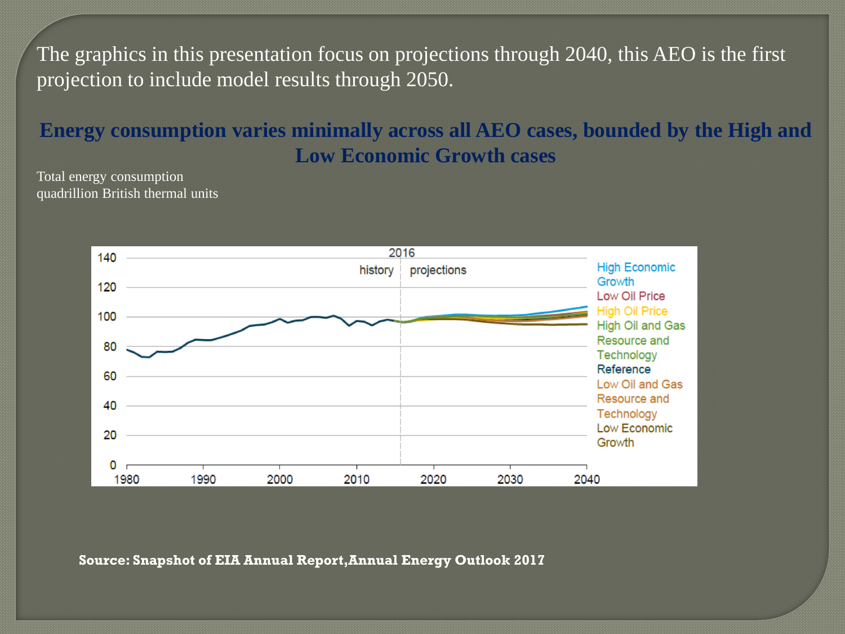The graphics in this presentation focus on projections through 2040, this AEO is the first projection to include model results through 2050.

## **Energy consumption varies minimally across all AEO cases, bounded by the High and Low Economic Growth cases**

Total energy consumption quadrillion British thermal units



**Source: Snapshot of EIA Annual Report,Annual Energy Outlook 2017**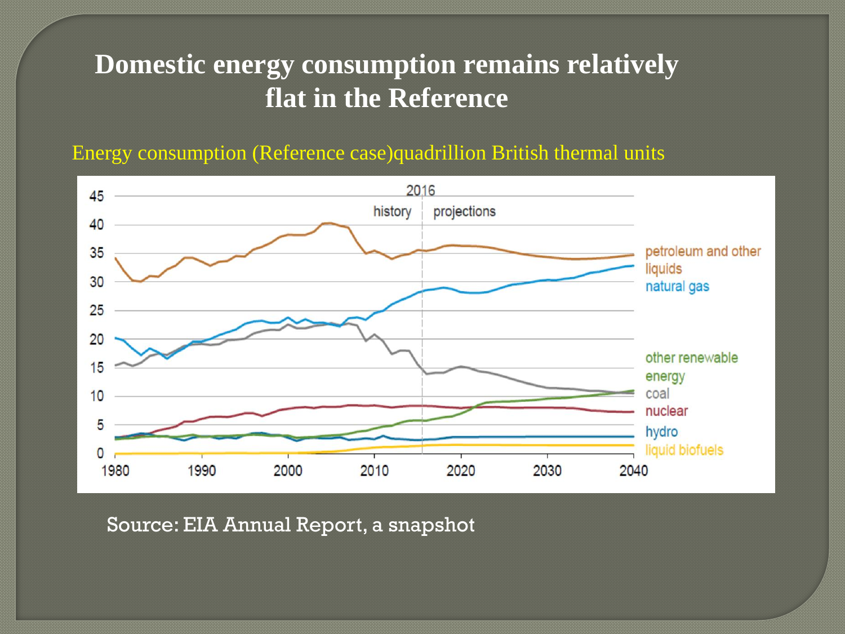# **Domestic energy consumption remains relatively flat in the Reference**

Energy consumption (Reference case)quadrillion British thermal units



Source: EIA Annual Report, a snapshot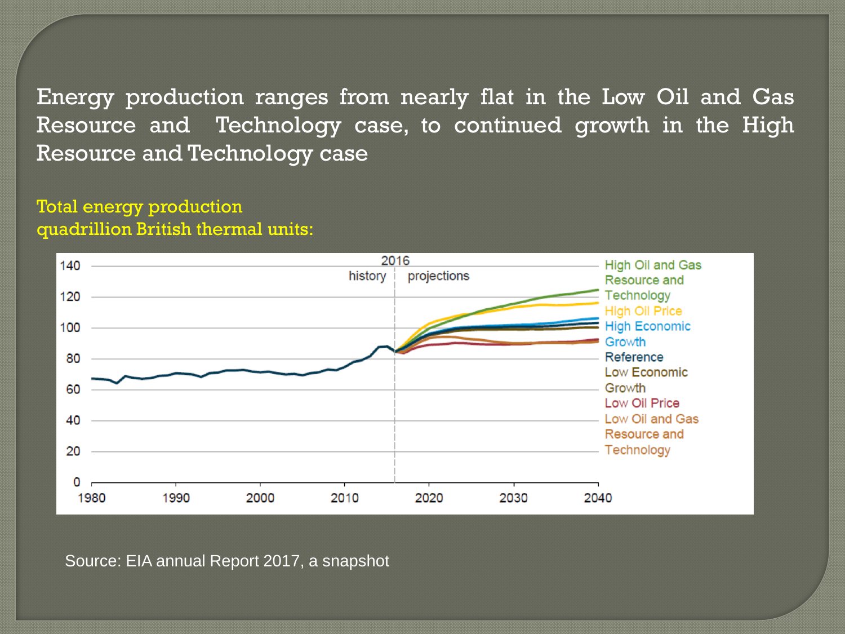Energy production ranges from nearly flat in the Low Oil and Gas Resource and Technology case, to continued growth in the High Resource and Technology case

## Total energy production quadrillion British thermal units:



Source: EIA annual Report 2017, a snapshot